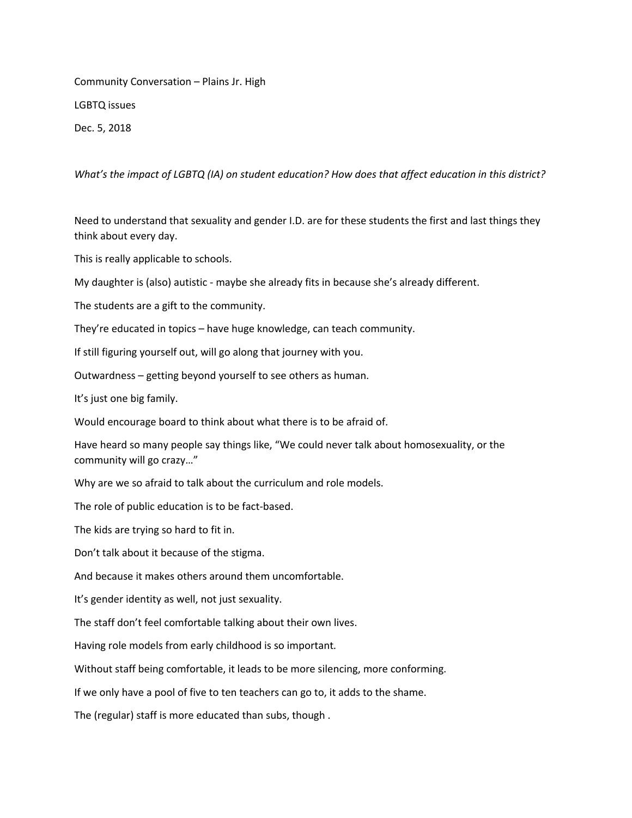Community Conversation – Plains Jr. High LGBTQ issues

Dec. 5, 2018

*What's the impact of LGBTQ (IA) on student education? How does that affect education in this district?*

Need to understand that sexuality and gender I.D. are for these students the first and last things they think about every day.

This is really applicable to schools.

My daughter is (also) autistic - maybe she already fits in because she's already different.

The students are a gift to the community.

They're educated in topics – have huge knowledge, can teach community.

If still figuring yourself out, will go along that journey with you.

Outwardness – getting beyond yourself to see others as human.

It's just one big family.

Would encourage board to think about what there is to be afraid of.

Have heard so many people say things like, "We could never talk about homosexuality, or the community will go crazy…"

Why are we so afraid to talk about the curriculum and role models.

The role of public education is to be fact-based.

The kids are trying so hard to fit in.

Don't talk about it because of the stigma.

And because it makes others around them uncomfortable.

It's gender identity as well, not just sexuality.

The staff don't feel comfortable talking about their own lives.

Having role models from early childhood is so important.

Without staff being comfortable, it leads to be more silencing, more conforming.

If we only have a pool of five to ten teachers can go to, it adds to the shame.

The (regular) staff is more educated than subs, though .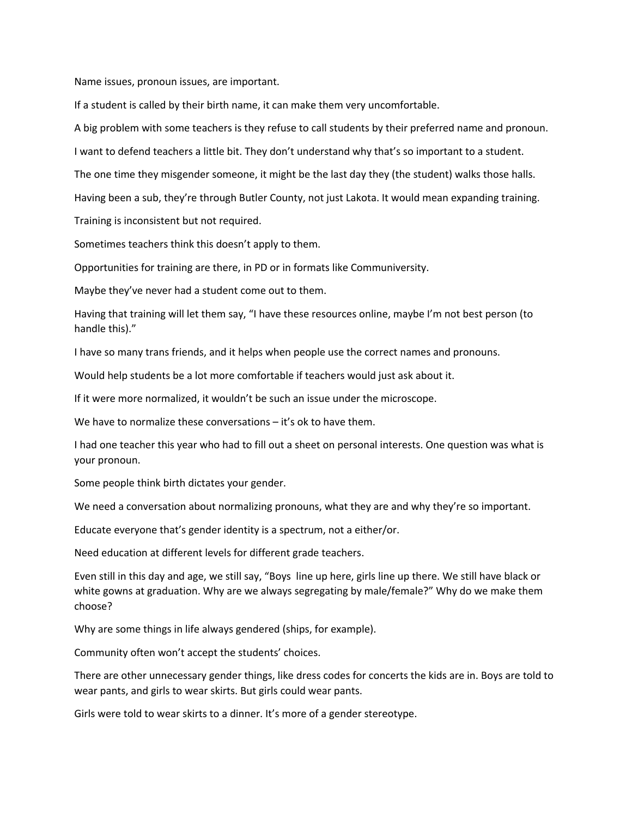Name issues, pronoun issues, are important.

If a student is called by their birth name, it can make them very uncomfortable.

A big problem with some teachers is they refuse to call students by their preferred name and pronoun.

I want to defend teachers a little bit. They don't understand why that's so important to a student.

The one time they misgender someone, it might be the last day they (the student) walks those halls.

Having been a sub, they're through Butler County, not just Lakota. It would mean expanding training.

Training is inconsistent but not required.

Sometimes teachers think this doesn't apply to them.

Opportunities for training are there, in PD or in formats like Communiversity.

Maybe they've never had a student come out to them.

Having that training will let them say, "I have these resources online, maybe I'm not best person (to handle this)."

I have so many trans friends, and it helps when people use the correct names and pronouns.

Would help students be a lot more comfortable if teachers would just ask about it.

If it were more normalized, it wouldn't be such an issue under the microscope.

We have to normalize these conversations – it's ok to have them.

I had one teacher this year who had to fill out a sheet on personal interests. One question was what is your pronoun.

Some people think birth dictates your gender.

We need a conversation about normalizing pronouns, what they are and why they're so important.

Educate everyone that's gender identity is a spectrum, not a either/or.

Need education at different levels for different grade teachers.

Even still in this day and age, we still say, "Boys line up here, girls line up there. We still have black or white gowns at graduation. Why are we always segregating by male/female?" Why do we make them choose?

Why are some things in life always gendered (ships, for example).

Community often won't accept the students' choices.

There are other unnecessary gender things, like dress codes for concerts the kids are in. Boys are told to wear pants, and girls to wear skirts. But girls could wear pants.

Girls were told to wear skirts to a dinner. It's more of a gender stereotype.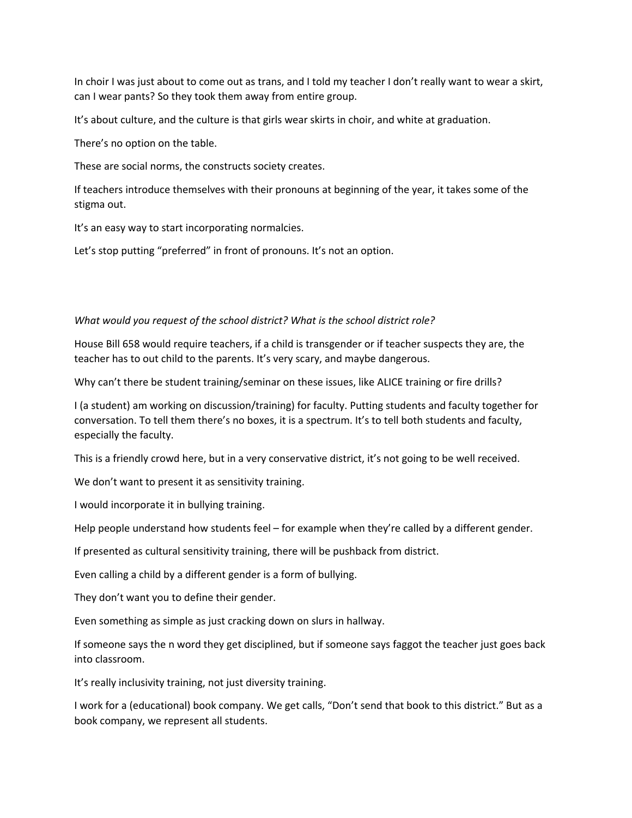In choir I was just about to come out as trans, and I told my teacher I don't really want to wear a skirt, can I wear pants? So they took them away from entire group.

It's about culture, and the culture is that girls wear skirts in choir, and white at graduation.

There's no option on the table.

These are social norms, the constructs society creates.

If teachers introduce themselves with their pronouns at beginning of the year, it takes some of the stigma out.

It's an easy way to start incorporating normalcies.

Let's stop putting "preferred" in front of pronouns. It's not an option.

## *What would you request of the school district? What is the school district role?*

House Bill 658 would require teachers, if a child is transgender or if teacher suspects they are, the teacher has to out child to the parents. It's very scary, and maybe dangerous.

Why can't there be student training/seminar on these issues, like ALICE training or fire drills?

I (a student) am working on discussion/training) for faculty. Putting students and faculty together for conversation. To tell them there's no boxes, it is a spectrum. It's to tell both students and faculty, especially the faculty.

This is a friendly crowd here, but in a very conservative district, it's not going to be well received.

We don't want to present it as sensitivity training.

I would incorporate it in bullying training.

Help people understand how students feel – for example when they're called by a different gender.

If presented as cultural sensitivity training, there will be pushback from district.

Even calling a child by a different gender is a form of bullying.

They don't want you to define their gender.

Even something as simple as just cracking down on slurs in hallway.

If someone says the n word they get disciplined, but if someone says faggot the teacher just goes back into classroom.

It's really inclusivity training, not just diversity training.

I work for a (educational) book company. We get calls, "Don't send that book to this district." But as a book company, we represent all students.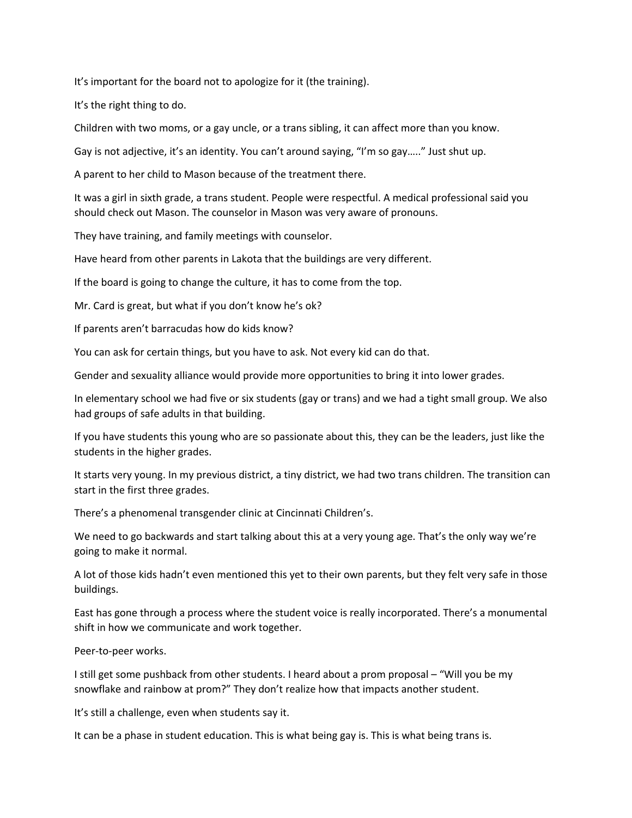It's important for the board not to apologize for it (the training).

It's the right thing to do.

Children with two moms, or a gay uncle, or a trans sibling, it can affect more than you know.

Gay is not adjective, it's an identity. You can't around saying, "I'm so gay….." Just shut up.

A parent to her child to Mason because of the treatment there.

It was a girl in sixth grade, a trans student. People were respectful. A medical professional said you should check out Mason. The counselor in Mason was very aware of pronouns.

They have training, and family meetings with counselor.

Have heard from other parents in Lakota that the buildings are very different.

If the board is going to change the culture, it has to come from the top.

Mr. Card is great, but what if you don't know he's ok?

If parents aren't barracudas how do kids know?

You can ask for certain things, but you have to ask. Not every kid can do that.

Gender and sexuality alliance would provide more opportunities to bring it into lower grades.

In elementary school we had five or six students (gay or trans) and we had a tight small group. We also had groups of safe adults in that building.

If you have students this young who are so passionate about this, they can be the leaders, just like the students in the higher grades.

It starts very young. In my previous district, a tiny district, we had two trans children. The transition can start in the first three grades.

There's a phenomenal transgender clinic at Cincinnati Children's.

We need to go backwards and start talking about this at a very young age. That's the only way we're going to make it normal.

A lot of those kids hadn't even mentioned this yet to their own parents, but they felt very safe in those buildings.

East has gone through a process where the student voice is really incorporated. There's a monumental shift in how we communicate and work together.

Peer-to-peer works.

I still get some pushback from other students. I heard about a prom proposal – "Will you be my snowflake and rainbow at prom?" They don't realize how that impacts another student.

It's still a challenge, even when students say it.

It can be a phase in student education. This is what being gay is. This is what being trans is.